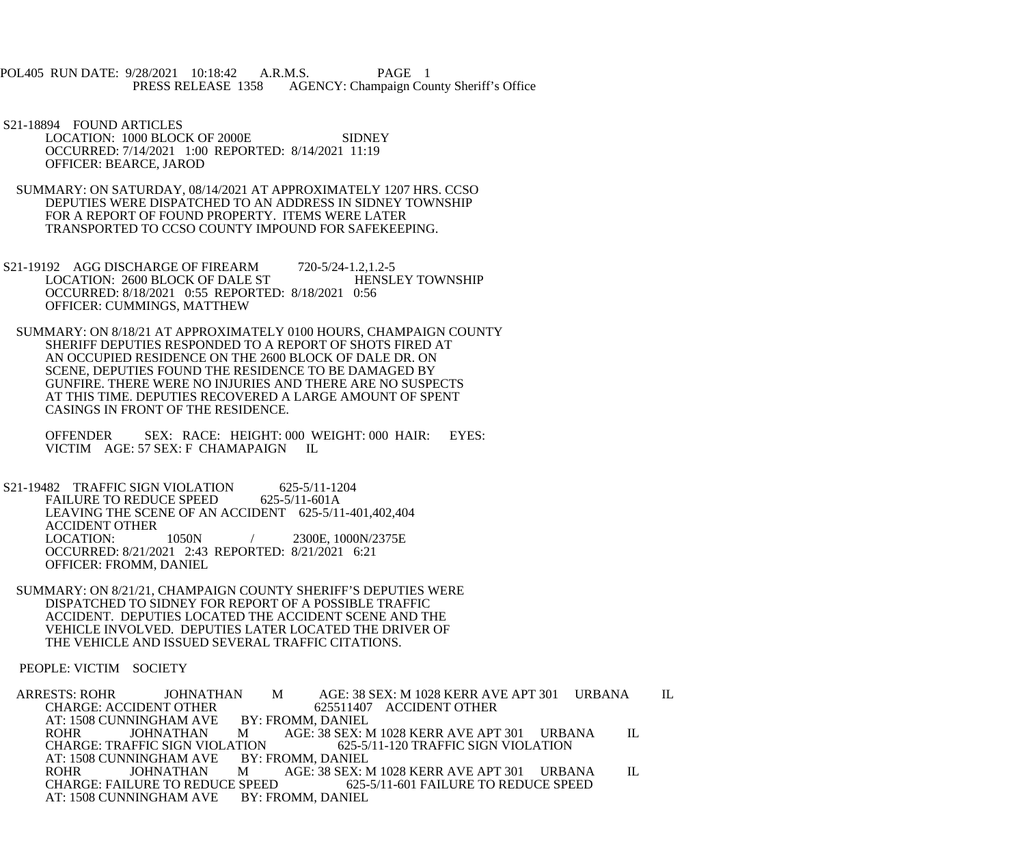POL405 RUN DATE: 9/28/2021 10:18:42 A.R.M.S. PAGE 1 PRESS RELEASE 1358 AGENCY: Champaign County Sheriff's Office

 S21-18894 FOUND ARTICLES LOCATION: 1000 BLOCK OF 2000E SIDNEY OCCURRED: 7/14/2021 1:00 REPORTED: 8/14/2021 11:19 OFFICER: BEARCE, JAROD

 SUMMARY: ON SATURDAY, 08/14/2021 AT APPROXIMATELY 1207 HRS. CCSO DEPUTIES WERE DISPATCHED TO AN ADDRESS IN SIDNEY TOWNSHIP FOR A REPORT OF FOUND PROPERTY. ITEMS WERE LATER TRANSPORTED TO CCSO COUNTY IMPOUND FOR SAFEKEEPING.

S21-19192 AGG DISCHARGE OF FIREARM 720-5/24-1.2,1.2-5<br>LOCATION: 2600 BLOCK OF DALE ST HENSLEY TOWNSHIP LOCATION: 2600 BLOCK OF DALE ST OCCURRED: 8/18/2021 0:55 REPORTED: 8/18/2021 0:56 OFFICER: CUMMINGS, MATTHEW

 SUMMARY: ON 8/18/21 AT APPROXIMATELY 0100 HOURS, CHAMPAIGN COUNTY SHERIFF DEPUTIES RESPONDED TO A REPORT OF SHOTS FIRED AT AN OCCUPIED RESIDENCE ON THE 2600 BLOCK OF DALE DR. ON SCENE, DEPUTIES FOUND THE RESIDENCE TO BE DAMAGED BY GUNFIRE. THERE WERE NO INJURIES AND THERE ARE NO SUSPECTS AT THIS TIME. DEPUTIES RECOVERED A LARGE AMOUNT OF SPENT CASINGS IN FRONT OF THE RESIDENCE.

 OFFENDER SEX: RACE: HEIGHT: 000 WEIGHT: 000 HAIR: EYES: VICTIM AGE: 57 SEX: F CHAMAPAIGN IL

 S21-19482 TRAFFIC SIGN VIOLATION 625-5/11-1204 FAILURE TO REDUCE SPEED 625-5/11-601A LEAVING THE SCENE OF AN ACCIDENT 625-5/11-401,402,404 ACCIDENT OTHER<br>LOCATION: 1050N / 2300E, 1000N/2375E OCCURRED: 8/21/2021 2:43 REPORTED: 8/21/2021 6:21 OFFICER: FROMM, DANIEL

 SUMMARY: ON 8/21/21, CHAMPAIGN COUNTY SHERIFF'S DEPUTIES WERE DISPATCHED TO SIDNEY FOR REPORT OF A POSSIBLE TRAFFIC ACCIDENT. DEPUTIES LOCATED THE ACCIDENT SCENE AND THE VEHICLE INVOLVED. DEPUTIES LATER LOCATED THE DRIVER OF THE VEHICLE AND ISSUED SEVERAL TRAFFIC CITATIONS.

PEOPLE: VICTIM SOCIETY

ARRESTS: ROHR JOHNATHAN M AGE: 38 SEX: M 1028 KERR AVE APT 301 URBANA IL<br>CHARGE: ACCIDENT OTHER 625511407 ACCIDENT OTHER 625511407 ACCIDENT OTHER BY: FROMM, DANIEL AT: 1508 CUNNINGHAM AVE ROHR JOHNATHAN ROHR JOHNATHAN M AGE: 38 SEX: M 1028 KERR AVE APT 301 URBANA IL CHARGE: TRAFFIC SIGN VIOLATION 625-5/11-120 TRAFFIC SIGN VIOLATION ATION 625-5/11-120 TRAFFIC SIGN VIOLATION<br>BY: FROMM, DANIEL AT: 1508 CUNNINGHAM AVE BY: FROMM, DANIEL ROHR JOHNATHAN M AGE: 38 SEX: M 1028 KERR AVE APT 301 URBANA IL<br>CHARGE: FAILURE TO REDUCE SPEED 625-5/11-601 FAILURE TO REDUCE SPEED E SPEED 625-5/11-601 FAILURE TO REDUCE SPEED<br>BY: FROMM, DANIEL AT: 1508 CUNNINGHAM AVE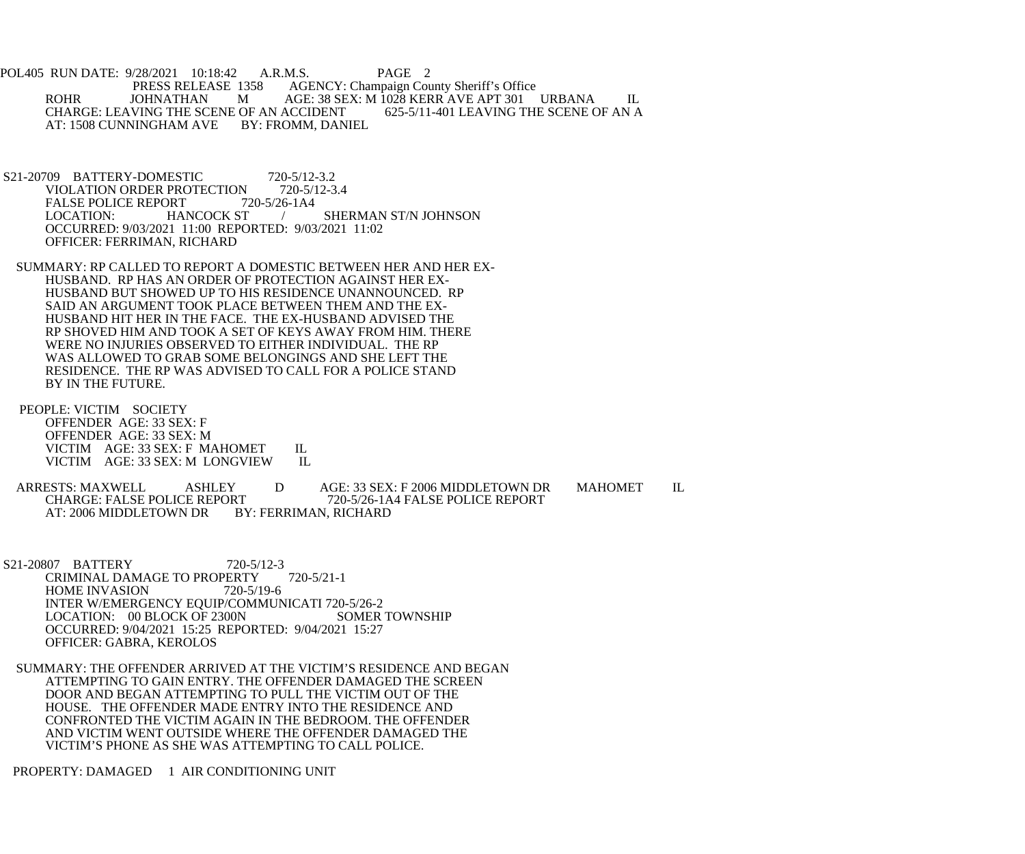POL405 RUN DATE: 9/28/2021 10:18:42 A.R.M.S. PAGE 2<br>PRESS RELEASE 1358 AGENCY: Champaign Cou AGENCY: Champaign County Sheriff's Office ROHR JOHNATHAN M AGE: 38 SEX: M 1028 KERR AVE APT 301 URBANA IL<br>CHARGE: LEAVING THE SCENE OF AN ACCIDENT 625-5/11-401 LEAVING THE SCENE OF AN A CHARGE: LEAVING THE SCENE OF AN ACCIDENT<br>AT: 1508 CUNNINGHAM AVE BY: FROMM. DANIEL AT: 1508 CUNNINGHAM AVE

S21-20709 BATTERY-DOMESTIC 720-5/12-3.2<br>VIOLATION ORDER PROTECTION 720-5/12-3.4 VIOLATION ORDER PROTECTION 720-5/1<br>FALSE POLICE REPORT 720-5/26-1A4 FALSE POLICE REPORT 72<br>LOCATION: HANCOCK ST / SHERMAN ST/N JOHNSON OCCURRED: 9/03/2021 11:00 REPORTED: 9/03/2021 11:02 OFFICER: FERRIMAN, RICHARD

 SUMMARY: RP CALLED TO REPORT A DOMESTIC BETWEEN HER AND HER EX- HUSBAND. RP HAS AN ORDER OF PROTECTION AGAINST HER EX- HUSBAND BUT SHOWED UP TO HIS RESIDENCE UNANNOUNCED. RP SAID AN ARGUMENT TOOK PLACE BETWEEN THEM AND THE EX- HUSBAND HIT HER IN THE FACE. THE EX-HUSBAND ADVISED THE RP SHOVED HIM AND TOOK A SET OF KEYS AWAY FROM HIM. THERE WERE NO INJURIES OBSERVED TO EITHER INDIVIDUAL. THE RP WAS ALLOWED TO GRAB SOME BELONGINGS AND SHE LEFT THE RESIDENCE. THE RP WAS ADVISED TO CALL FOR A POLICE STAND BY IN THE FUTURE.

 PEOPLE: VICTIM SOCIETY OFFENDER AGE: 33 SEX: F OFFENDER AGE: 33 SEX: M VICTIM AGE: 33 SEX: F MAHOMET IL<br>VICTIM AGE: 33 SEX: M LONGVIEW IL VICTIM AGE: 33 SEX: M LONGVIEW

 ARRESTS: MAXWELL ASHLEY D AGE: 33 SEX: F 2006 MIDDLETOWN DR MAHOMET IL PRT 720-5/26-1A4 FALSE POLICE REPORT<br>BY: FERRIMAN, RICHARD AT: 2006 MIDDLETOWN DR

 S21-20807 BATTERY 720-5/12-3 CRIMINAL DAMAGE TO PROPERTY 720-5/21-1<br>HOME INVASION 720-5/19-6 HOME INVASION INTER W/EMERGENCY EQUIP/COMMUNICATI 720-5/26-2<br>LOCATION: 00 BLOCK OF 2300N SOMER TOWNSHIP LOCATION: 00 BLOCK OF 2300N OCCURRED: 9/04/2021 15:25 REPORTED: 9/04/2021 15:27 OFFICER: GABRA, KEROLOS

 SUMMARY: THE OFFENDER ARRIVED AT THE VICTIM'S RESIDENCE AND BEGAN ATTEMPTING TO GAIN ENTRY. THE OFFENDER DAMAGED THE SCREEN DOOR AND BEGAN ATTEMPTING TO PULL THE VICTIM OUT OF THE HOUSE. THE OFFENDER MADE ENTRY INTO THE RESIDENCE AND CONFRONTED THE VICTIM AGAIN IN THE BEDROOM. THE OFFENDER AND VICTIM WENT OUTSIDE WHERE THE OFFENDER DAMAGED THE VICTIM'S PHONE AS SHE WAS ATTEMPTING TO CALL POLICE.

PROPERTY: DAMAGED 1 AIR CONDITIONING UNIT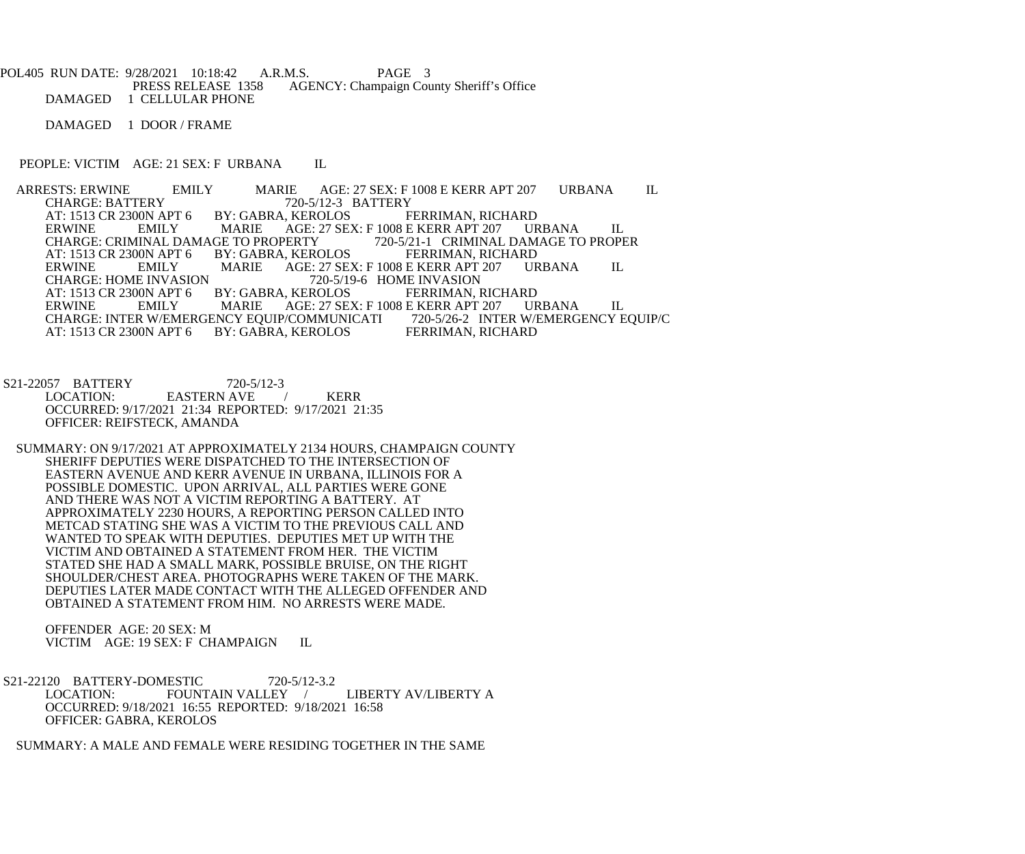POL405 RUN DATE: 9/28/2021 10:18:42 A.R.M.S. PAGE 3<br>PRESS RELEASE 1358 AGENCY: Champaign Cou AGENCY: Champaign County Sheriff's Office DAMAGED 1 CELLULAR PHONE

DAMAGED 1 DOOR / FRAME

PEOPLE: VICTIM AGE: 21 SEX: F URBANA IL

ARRESTS: ERWINE EMILY MARIE AGE: 27 SEX: F 1008 E KERR APT 207 URBANA IL<br>CHARGE: BATTERY 720-5/12-3 BATTERY CHARGE: BATTERY 720-5/12-3 BATTERY<br>AT: 1513 CR 2300N APT 6 BY: GABRA, KEROLOS FERRIMAN, RICHARD AT: 1513 CR 2300N APT 6 BY: GAB<br>ERWINE EMILY MARIE ERWINE EMILY MARIE AGE: 27 SEX: F 1008 E KERR APT 207 URBANA IL CHARGE: CRIMINAL DAMAGE TO PROPER CHARGE: CRIMINAL DAMAGE TO PROPER CHARGE: CRIMINAL DAMAGE TO PROPERTY 720-5/21-1 CRIMINAL DAM<br>AT: 1513 CR 2300N APT 6 BY: GABRA, KEROLOS FERRIMAN, RICHARD AT: 1513 CR 2300N APT 6 BY: GABRA, KEROLOS FERRIMAN, RICHARD<br>ERWINE EMILY MARIE AGE: 27 SEX: F 1008 E KERR APT 207 URBANA ERWINE EMILY MARIE AGE: 27 SEX: F 1008 E KERR APT 207 URBANA IL CHARGE: HOME INVASION 720-5/19-6 HOME INVASION CHARGE: HOME INVASION<br>AT: 1513 CR 2300N APT 6 BY: GABRA, KEROLOS FERRIMAN, RICHARD AT: 1513 CR 2300N APT 6 BY: GABRA, KEROLOS<br>ERWINE EMILY MARIE AGE: 27 SE. AGE: 27 SEX: F 1008 E KERR APT 207 URBANA IL<br>P/COMMUNICATI 720-5/26-2 INTER W/EMERGENCY EQUIP/C CHARGE: INTER W/EMERGENCY EQUIP/COMMUNICATI 720-5/26-2 INTER W/I<br>AT: 1513 CR 2300N APT 6 BY: GABRA, KEROLOS FERRIMAN, RICHARD BY: GABRA, KEROLOS

S21-22057 BATTERY 720-5/12-3<br>LOCATION: EASTERN AVE EASTERN AVE / KERR OCCURRED: 9/17/2021 21:34 REPORTED: 9/17/2021 21:35 OFFICER: REIFSTECK, AMANDA

 SUMMARY: ON 9/17/2021 AT APPROXIMATELY 2134 HOURS, CHAMPAIGN COUNTY SHERIFF DEPUTIES WERE DISPATCHED TO THE INTERSECTION OF EASTERN AVENUE AND KERR AVENUE IN URBANA, ILLINOIS FOR A POSSIBLE DOMESTIC. UPON ARRIVAL, ALL PARTIES WERE GONE AND THERE WAS NOT A VICTIM REPORTING A BATTERY. AT APPROXIMATELY 2230 HOURS, A REPORTING PERSON CALLED INTO METCAD STATING SHE WAS A VICTIM TO THE PREVIOUS CALL AND WANTED TO SPEAK WITH DEPUTIES. DEPUTIES MET UP WITH THE VICTIM AND OBTAINED A STATEMENT FROM HER. THE VICTIM STATED SHE HAD A SMALL MARK, POSSIBLE BRUISE, ON THE RIGHT SHOULDER/CHEST AREA. PHOTOGRAPHS WERE TAKEN OF THE MARK. DEPUTIES LATER MADE CONTACT WITH THE ALLEGED OFFENDER AND OBTAINED A STATEMENT FROM HIM. NO ARRESTS WERE MADE.

 OFFENDER AGE: 20 SEX: M VICTIM AGE: 19 SEX: F CHAMPAIGN IL

S21-22120 BATTERY-DOMESTIC 720-5/12-3.2<br>LOCATION: FOUNTAIN VALLEY FOUNTAIN VALLEY / LIBERTY AV/LIBERTY A OCCURRED: 9/18/2021 16:55 REPORTED: 9/18/2021 16:58 OFFICER: GABRA, KEROLOS

SUMMARY: A MALE AND FEMALE WERE RESIDING TOGETHER IN THE SAME